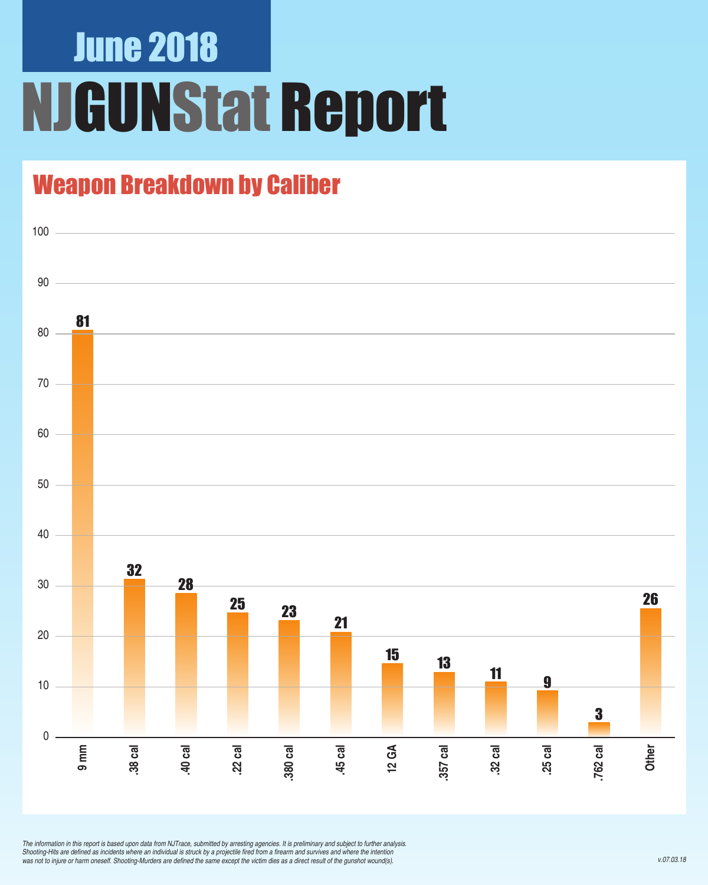# June 2018 NJGUNStat Report

### Weapon Breakdown by Caliber



*The information in this report is based upon data from NJTrace, submitted by arresting agencies. It is preliminary and subject to further analysis.*  Shooting-Hits are defined as incidents where an individual is struck by a projectile fired from a firearm and survives and where the intention was not to injure or harm oneself. Shooting-Murders are defined the same except the victim dies as a direct result of the gunshot wound(s).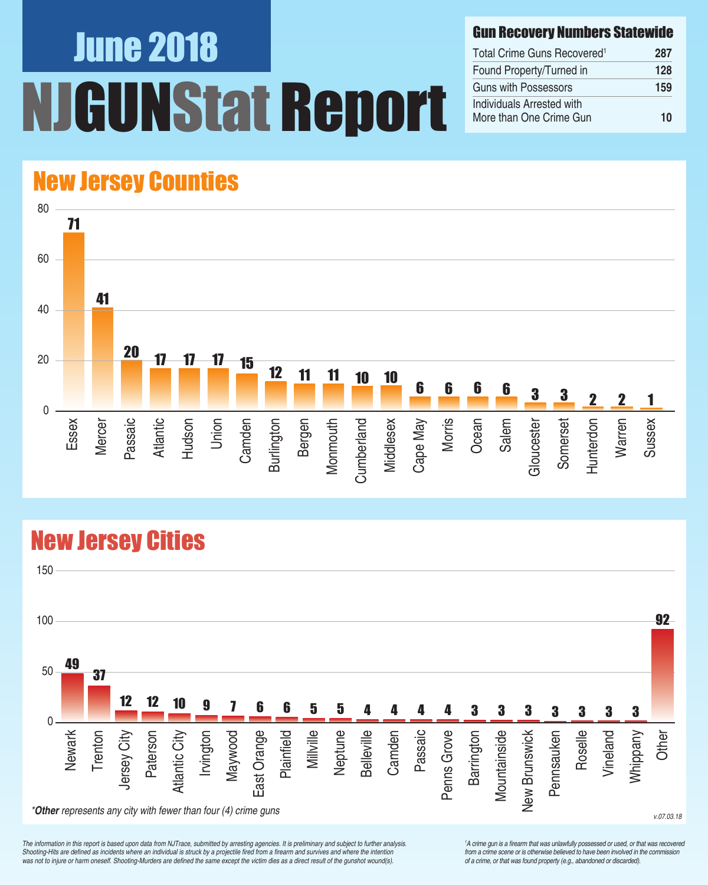# June 2018 UNStat Report

#### Gun Recovery Numbers Statewide

| Total Crime Guns Recovered <sup>1</sup>              | 287 |
|------------------------------------------------------|-----|
| Found Property/Turned in                             | 128 |
| Guns with Possessors                                 | 159 |
| Individuals Arrested with<br>More than One Crime Gun | 10  |

## New Jersey Counties



## New Jersey Cities



*The information in this report is based upon data from NJTrace, submitted by arresting agencies. It is preliminary and subject to further analysis.*  Shooting-Hits are defined as incidents where an individual is struck by a projectile fired from a firearm and survives and where the intention was not to injure or harm oneself. Shooting-Murders are defined the same except the victim dies as a direct result of the gunshot wound(s).

<sup>1</sup>A crime gun is a firearm that was unlawfully possessed or used, or that was recovered from a crime scene or is otherwise believed to have been involved in the commission *of a crime, or that was found property (e.g., abandoned or discarded).*